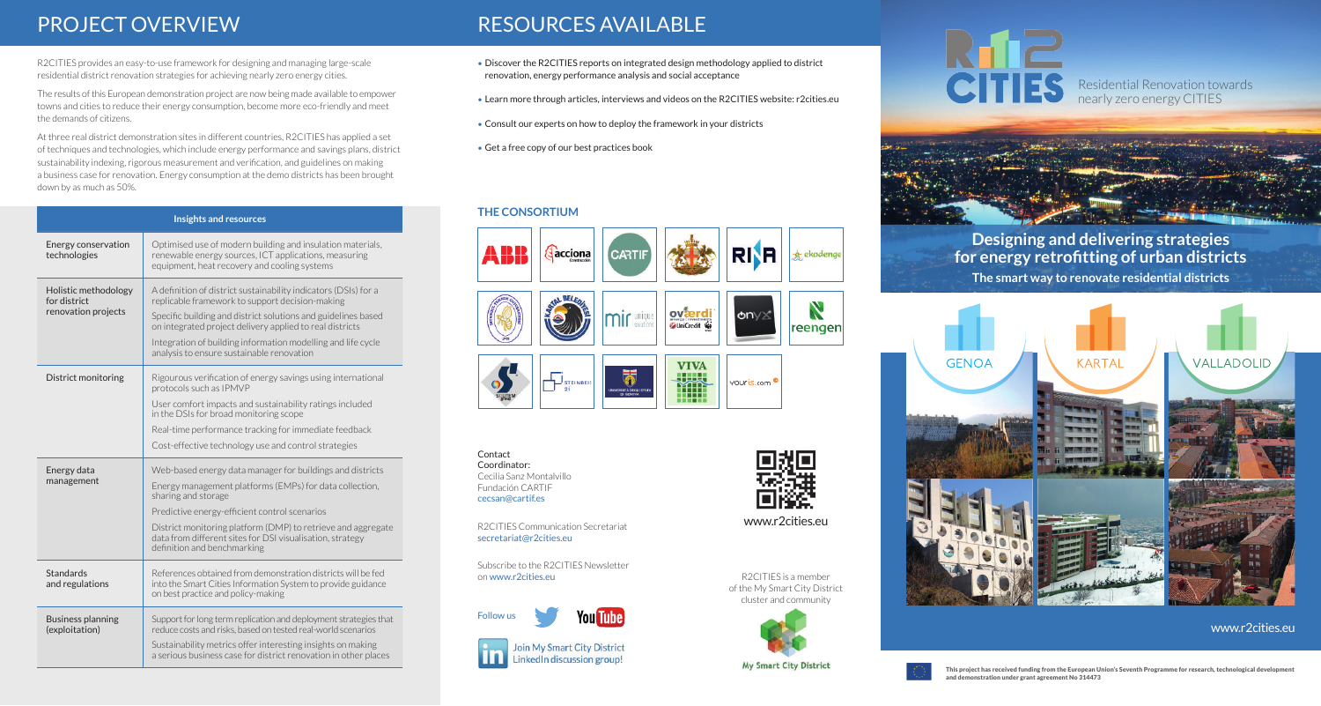# PROJECT OVERVIEW THE RESOURCES AVAILABLE

www.r2cities.eu

R2CITIES provides an easy-to-use framework for designing and managing large-scale residential district renovation strategies for achieving nearly zero energy cities.

The results of this European demonstration project are now being made available to empower towns and cities to reduce their energy consumption, become more eco-friendly and meet the demands of citizens.

At three real district demonstration sites in different countries, R2CITIES has applied a set of techniques and technologies, which include energy performance and savings plans, district sustainability indexing, rigorous measurement and verification, and guidelines on making a business case for renovation. Energy consumption at the demo districts has been brought down by as much as 50%.

- Discover the R2CITIES reports on integrated design methodology applied to district renovation, energy performance analysis and social acceptance
- Learn more through articles, interviews and videos on the R2CITIES website: r2cities.eu
- Consult our experts on how to deploy the framework in your districts
- Get a free copy of our best practices book

Subscribe to the R2CITIES Newsletter on www.r2cities.eu and the control of the R2CITIES is a member

| <b>Insights and resources</b>                               |                                                                                                                                                                                                                                                                                                                                                              |
|-------------------------------------------------------------|--------------------------------------------------------------------------------------------------------------------------------------------------------------------------------------------------------------------------------------------------------------------------------------------------------------------------------------------------------------|
| Energy conservation<br>technologies                         | Optimised use of modern building and insulation materials,<br>renewable energy sources, ICT applications, measuring<br>equipment, heat recovery and cooling systems                                                                                                                                                                                          |
| Holistic methodology<br>for district<br>renovation projects | A definition of district sustainability indicators (DSIs) for a<br>replicable framework to support decision-making<br>Specific building and district solutions and guidelines based<br>on integrated project delivery applied to real districts<br>Integration of building information modelling and life cycle<br>analysis to ensure sustainable renovation |
| District monitoring                                         | Rigourous verification of energy savings using international<br>protocols such as IPMVP<br>User comfort impacts and sustainability ratings included<br>in the DSIs for broad monitoring scope<br>Real-time performance tracking for immediate feedback<br>Cost-effective technology use and control strategies                                               |
| Energy data<br>management                                   | Web-based energy data manager for buildings and districts<br>Energy management platforms (EMPs) for data collection,<br>sharing and storage<br>Predictive energy-efficient control scenarios<br>District monitoring platform (DMP) to retrieve and aggregate<br>data from different sites for DSI visualisation, strategy<br>definition and benchmarking     |
| Standards<br>and regulations                                | References obtained from demonstration districts will be fed<br>into the Smart Cities Information System to provide guidance<br>on best practice and policy-making                                                                                                                                                                                           |
| Business planning<br>(exploitation)                         | Support for long term replication and deployment strategies that<br>reduce costs and risks, based on tested real-world scenarios<br>Sustainability metrics offer interesting insights on making<br>a serious business case for district renovation in other places                                                                                           |

Contact Coordinator: Cecilia Sanz Montalvillo Fundación CARTIF cecsan@cartif.es

R2CITIES Communication Secretariat secretariat@r2cities.eu

### **THE CONSORTIUM**



of the My Smart City District cluster and community



**My Smart City District** 



www.r2cities.eu

Residential Renovation towards nearly zero energy CITIES

**Designing and delivering strategies for energy retrofitting of urban districts The smart way to renovate residential districts**